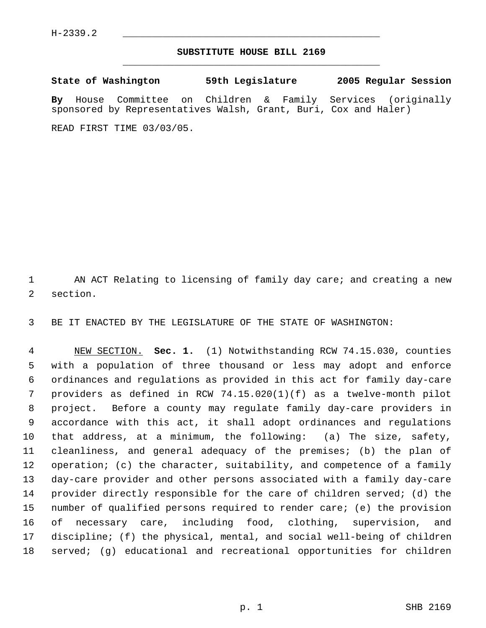## **SUBSTITUTE HOUSE BILL 2169** \_\_\_\_\_\_\_\_\_\_\_\_\_\_\_\_\_\_\_\_\_\_\_\_\_\_\_\_\_\_\_\_\_\_\_\_\_\_\_\_\_\_\_\_\_

**State of Washington 59th Legislature 2005 Regular Session By** House Committee on Children & Family Services (originally sponsored by Representatives Walsh, Grant, Buri, Cox and Haler)

READ FIRST TIME 03/03/05.

1 AN ACT Relating to licensing of family day care; and creating a new section.

BE IT ENACTED BY THE LEGISLATURE OF THE STATE OF WASHINGTON:

 NEW SECTION. **Sec. 1.** (1) Notwithstanding RCW 74.15.030, counties with a population of three thousand or less may adopt and enforce ordinances and regulations as provided in this act for family day-care providers as defined in RCW 74.15.020(1)(f) as a twelve-month pilot project. Before a county may regulate family day-care providers in accordance with this act, it shall adopt ordinances and regulations that address, at a minimum, the following: (a) The size, safety, cleanliness, and general adequacy of the premises; (b) the plan of operation; (c) the character, suitability, and competence of a family day-care provider and other persons associated with a family day-care provider directly responsible for the care of children served; (d) the number of qualified persons required to render care; (e) the provision of necessary care, including food, clothing, supervision, and discipline; (f) the physical, mental, and social well-being of children served; (g) educational and recreational opportunities for children